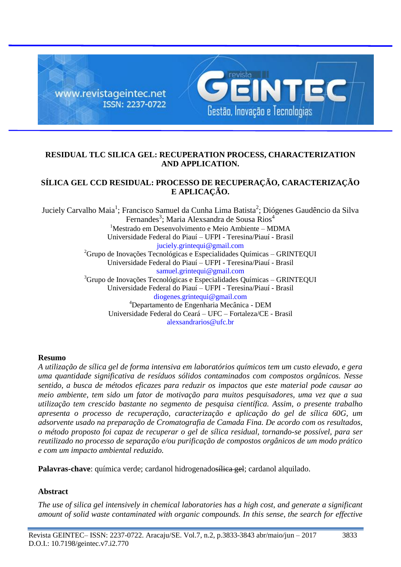

## **RESIDUAL TLC SILICA GEL: RECUPERATION PROCESS, CHARACTERIZATION AND APPLICATION.**

# **SÍLICA GEL CCD RESIDUAL: PROCESSO DE RECUPERAÇÃO, CARACTERIZAÇÃO E APLICAÇÃO.**

Juciely Carvalho Maia<sup>1</sup>; Francisco Samuel da Cunha Lima Batista<sup>2</sup>; Diógenes Gaudêncio da Silva Fernandes<sup>3</sup>; Maria Alexsandra de Sousa Rios<sup>4</sup>  $1$ Mestrado em Desenvolvimento e Meio Ambiente – MDMA Universidade Federal do Piauí – UFPI - Teresina/Piauí - Brasil [juciely.grintequi@gmail.com](mailto:juciely.grintequi@gmail.com)  ${}^{2}$ Grupo de Inovações Tecnológicas e Especialidades Químicas – GRINTEQUI Universidade Federal do Piauí – UFPI - Teresina/Piauí - Brasil [samuel.grintequi@gmail.com](mailto:samuel.grintequi@gmail.com) <sup>3</sup>Grupo de Inovações Tecnológicas e Especialidades Químicas - GRINTEQUI Universidade Federal do Piauí – UFPI - Teresina/Piauí - Brasil diogenes.grintequi@gmail.com <sup>4</sup>Departamento de Engenharia Mecânica - DEM Universidade Federal do Ceará – UFC – Fortaleza/CE - Brasil [alexsandrarios@ufc.br](mailto:grintequi@gmail.com)

## **Resumo**

*A utilização de sílica gel de forma intensiva em laboratórios químicos tem um custo elevado, e gera uma quantidade significativa de resíduos sólidos contaminados com compostos orgânicos. Nesse sentido, a busca de métodos eficazes para reduzir os impactos que este material pode causar ao meio ambiente, tem sido um fator de motivação para muitos pesquisadores, uma vez que a sua utilização tem crescido bastante no segmento de pesquisa científica. Assim, o presente trabalho apresenta o processo de recuperação, caracterização e aplicação do gel de sílica 60G, um adsorvente usado na preparação de Cromatografia de Camada Fina. De acordo com os resultados, o método proposto foi capaz de recuperar o gel de sílica residual, tornando-se possível, para ser reutilizado no processo de separação e/ou purificação de compostos orgânicos de um modo prático e com um impacto ambiental reduzido.*

**Palavras-chave**: química verde; cardanol hidrogenados<del>ílica gel</del>; cardanol alquilado.

# **Abstract**

*The use of silica gel intensively in chemical laboratories has a high cost, and generate a significant amount of solid waste contaminated with organic compounds. In this sense, the search for effective*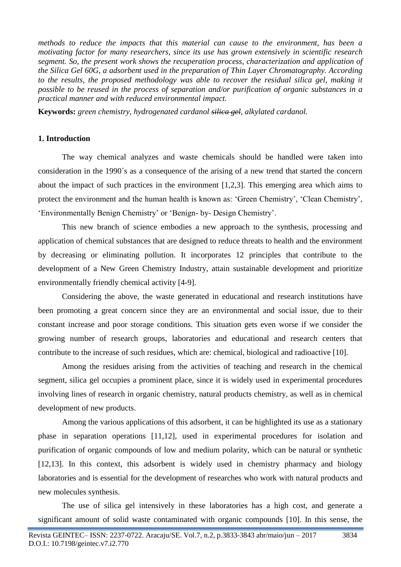*methods to reduce the impacts that this material can cause to the environment, has been a motivating factor for many researchers, since its use has grown extensively in scientific research segment. So, the present work shows the recuperation process, characterization and application of the Silica Gel 60G, a adsorbent used in the preparation of Thin Layer Chromatography. According to the results, the proposed methodology was able to recover the residual silica gel, making it possible to be reused in the process of separation and/or purification of organic substances in a practical manner and with reduced environmental impact.* 

**Keywords:** *green chemistry, hydrogenated cardanol silica gel, alkylated cardanol.*

## **1. Introduction**

The way chemical analyzes and waste chemicals should be handled were taken into consideration in the 1990´s as a consequence of the arising of a new trend that started the concern about the impact of such practices in the environment [1,2,3]. This emerging area which aims to protect the environment and the human health is known as: 'Green Chemistry', 'Clean Chemistry', 'Environmentally Benign Chemistry' or 'Benign- by- Design Chemistry'.

This new branch of science embodies a new approach to the synthesis, processing and application of chemical substances that are designed to reduce threats to health and the environment by decreasing or eliminating pollution. It incorporates 12 principles that contribute to the development of a New Green Chemistry Industry, attain sustainable development and prioritize environmentally friendly chemical activity [4-9].

Considering the above, the waste generated in educational and research institutions have been promoting a great concern since they are an environmental and social issue, due to their constant increase and poor storage conditions. This situation gets even worse if we consider the growing number of research groups, laboratories and educational and research centers that contribute to the increase of such residues, which are: chemical, biological and radioactive [10].

Among the residues arising from the activities of teaching and research in the chemical segment, silica gel occupies a prominent place, since it is widely used in experimental procedures involving lines of research in organic chemistry, natural products chemistry, as well as in chemical development of new products.

Among the various applications of this adsorbent, it can be highlighted its use as a stationary phase in separation operations [11,12], used in experimental procedures for isolation and purification of organic compounds of low and medium polarity, which can be natural or synthetic [12,13]. In this context, this adsorbent is widely used in chemistry pharmacy and biology laboratories and is essential for the development of researches who work with natural products and new molecules synthesis.

The use of silica gel intensively in these laboratories has a high cost, and generate a significant amount of solid waste contaminated with organic compounds [10]. In this sense, the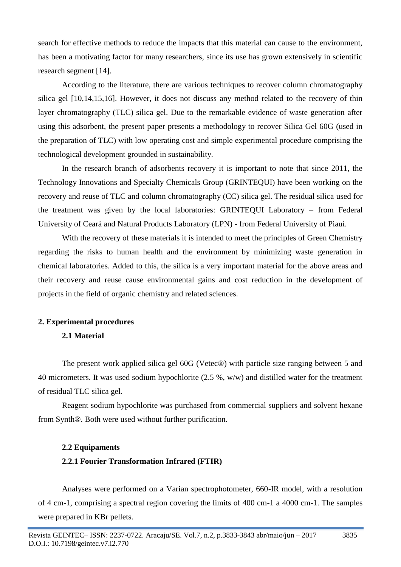search for effective methods to reduce the impacts that this material can cause to the environment, has been a motivating factor for many researchers, since its use has grown extensively in scientific research segment [14].

According to the literature, there are various techniques to recover column chromatography silica gel [10,14,15,16]. However, it does not discuss any method related to the recovery of thin layer chromatography (TLC) silica gel. Due to the remarkable evidence of waste generation after using this adsorbent, the present paper presents a methodology to recover Silica Gel 60G (used in the preparation of TLC) with low operating cost and simple experimental procedure comprising the technological development grounded in sustainability.

In the research branch of adsorbents recovery it is important to note that since 2011, the Technology Innovations and Specialty Chemicals Group (GRINTEQUI) have been working on the recovery and reuse of TLC and column chromatography (CC) silica gel. The residual silica used for the treatment was given by the local laboratories: GRINTEQUI Laboratory – from Federal University of Ceará and Natural Products Laboratory (LPN) - from Federal University of Piauí.

With the recovery of these materials it is intended to meet the principles of Green Chemistry regarding the risks to human health and the environment by minimizing waste generation in chemical laboratories. Added to this, the silica is a very important material for the above areas and their recovery and reuse cause environmental gains and cost reduction in the development of projects in the field of organic chemistry and related sciences.

## **2. Experimental procedures**

## **2.1 Material**

The present work applied silica gel 60G (Vetec®) with particle size ranging between 5 and 40 micrometers. It was used sodium hypochlorite (2.5 %, w/w) and distilled water for the treatment of residual TLC silica gel.

Reagent sodium hypochlorite was purchased from commercial suppliers and solvent hexane from Synth®. Both were used without further purification.

#### **2.2 Equipaments**

## **2.2.1 Fourier Transformation Infrared (FTIR)**

Analyses were performed on a Varian spectrophotometer, 660-IR model, with a resolution of 4 cm-1, comprising a spectral region covering the limits of 400 cm-1 a 4000 cm-1. The samples were prepared in KBr pellets.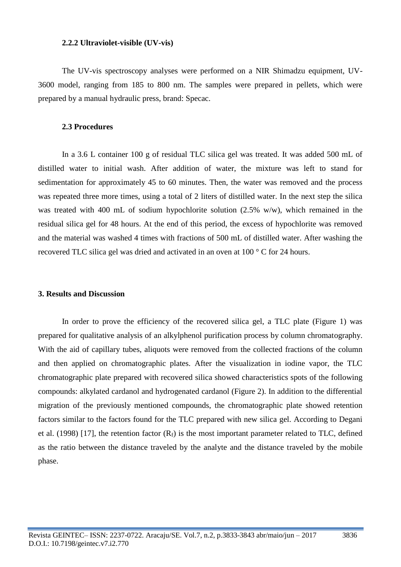#### **2.2.2 Ultraviolet-visible (UV-vis)**

The UV-vis spectroscopy analyses were performed on a NIR Shimadzu equipment, UV-3600 model, ranging from 185 to 800 nm. The samples were prepared in pellets, which were prepared by a manual hydraulic press, brand: Specac.

#### **2.3 Procedures**

In a 3.6 L container 100 g of residual TLC silica gel was treated. It was added 500 mL of distilled water to initial wash. After addition of water, the mixture was left to stand for sedimentation for approximately 45 to 60 minutes. Then, the water was removed and the process was repeated three more times, using a total of 2 liters of distilled water. In the next step the silica was treated with 400 mL of sodium hypochlorite solution (2.5% w/w), which remained in the residual silica gel for 48 hours. At the end of this period, the excess of hypochlorite was removed and the material was washed 4 times with fractions of 500 mL of distilled water. After washing the recovered TLC silica gel was dried and activated in an oven at 100 ° C for 24 hours.

### **3. Results and Discussion**

In order to prove the efficiency of the recovered silica gel, a TLC plate (Figure 1) was prepared for qualitative analysis of an alkylphenol purification process by column chromatography. With the aid of capillary tubes, aliquots were removed from the collected fractions of the column and then applied on chromatographic plates. After the visualization in iodine vapor, the TLC chromatographic plate prepared with recovered silica showed characteristics spots of the following compounds: alkylated cardanol and hydrogenated cardanol (Figure 2). In addition to the differential migration of the previously mentioned compounds, the chromatographic plate showed retention factors similar to the factors found for the TLC prepared with new silica gel. According to Degani et al. (1998) [17], the retention factor  $(R_f)$  is the most important parameter related to TLC, defined as the ratio between the distance traveled by the analyte and the distance traveled by the mobile phase.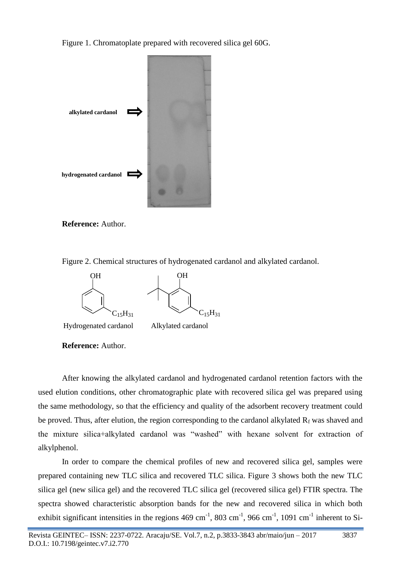Figure 1. Chromatoplate prepared with recovered silica gel 60G.



**Reference:** Author.

Figure 2. Chemical structures of hydrogenated cardanol and alkylated cardanol.



Hydrogenated cardanol Alkylated cardanol

**Reference:** Author.

After knowing the alkylated cardanol and hydrogenated cardanol retention factors with the used elution conditions, other chromatographic plate with recovered silica gel was prepared using the same methodology, so that the efficiency and quality of the adsorbent recovery treatment could be proved. Thus, after elution, the region corresponding to the cardanol alkylated  $R_f$  was shaved and the mixture silica+alkylated cardanol was "washed" with hexane solvent for extraction of alkylphenol.

In order to compare the chemical profiles of new and recovered silica gel, samples were prepared containing new TLC silica and recovered TLC silica. Figure 3 shows both the new TLC silica gel (new silica gel) and the recovered TLC silica gel (recovered silica gel) FTIR spectra. The spectra showed characteristic absorption bands for the new and recovered silica in which both exhibit significant intensities in the regions  $469 \text{ cm}^{-1}$ ,  $803 \text{ cm}^{-1}$ ,  $966 \text{ cm}^{-1}$ ,  $1091 \text{ cm}^{-1}$  inherent to Si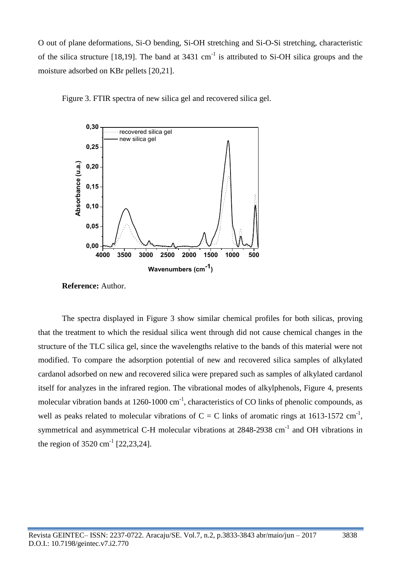O out of plane deformations, Si-O bending, Si-OH stretching and Si-O-Si stretching, characteristic of the silica structure [18,19]. The band at  $3431 \text{ cm}^{-1}$  is attributed to Si-OH silica groups and the moisture adsorbed on KBr pellets [20,21].



Figure 3. FTIR spectra of new silica gel and recovered silica gel.

**Reference:** Author.

The spectra displayed in Figure 3 show similar chemical profiles for both silicas, proving that the treatment to which the residual silica went through did not cause chemical changes in the structure of the TLC silica gel, since the wavelengths relative to the bands of this material were not modified. To compare the adsorption potential of new and recovered silica samples of alkylated cardanol adsorbed on new and recovered silica were prepared such as samples of alkylated cardanol itself for analyzes in the infrared region. The vibrational modes of alkylphenols, Figure 4, presents molecular vibration bands at  $1260 - 1000 \text{ cm}^{-1}$ , characteristics of CO links of phenolic compounds, as well as peaks related to molecular vibrations of  $C = C$  links of aromatic rings at 1613-1572 cm<sup>-1</sup>, symmetrical and asymmetrical C-H molecular vibrations at 2848-2938 cm<sup>-1</sup> and OH vibrations in the region of  $3520 \text{ cm}^{-1}$  [22,23,24].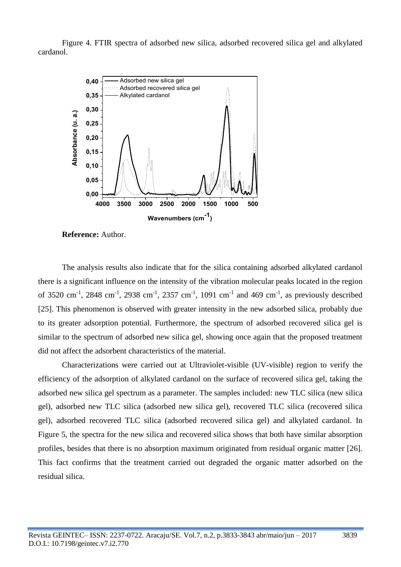Figure 4. FTIR spectra of adsorbed new silica, adsorbed recovered silica gel and alkylated cardanol.



**Reference:** Author.

The analysis results also indicate that for the silica containing adsorbed alkylated cardanol there is a significant influence on the intensity of the vibration molecular peaks located in the region of 3520 cm<sup>-1</sup>, 2848 cm<sup>-1</sup>, 2938 cm<sup>-1</sup>, 2357 cm<sup>-1</sup>, 1091 cm<sup>-1</sup> and 469 cm<sup>-1</sup>, as previously described [25]. This phenomenon is observed with greater intensity in the new adsorbed silica, probably due to its greater adsorption potential. Furthermore, the spectrum of adsorbed recovered silica gel is similar to the spectrum of adsorbed new silica gel, showing once again that the proposed treatment did not affect the adsorbent characteristics of the material.

Characterizations were carried out at Ultraviolet-visible (UV-visible) region to verify the efficiency of the adsorption of alkylated cardanol on the surface of recovered silica gel, taking the adsorbed new silica gel spectrum as a parameter. The samples included: new TLC silica (new silica gel), adsorbed new TLC silica (adsorbed new silica gel), recovered TLC silica (recovered silica gel), adsorbed recovered TLC silica (adsorbed recovered silica gel) and alkylated cardanol. In Figure 5, the spectra for the new silica and recovered silica shows that both have similar absorption profiles, besides that there is no absorption maximum originated from residual organic matter [26]. This fact confirms that the treatment carried out degraded the organic matter adsorbed on the residual silica.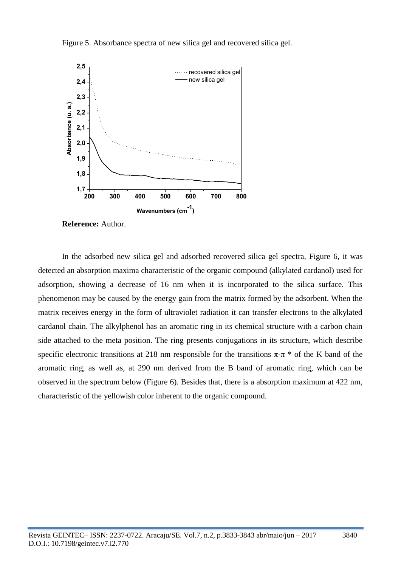Figure 5. Absorbance spectra of new silica gel and recovered silica gel.



**Reference:** Author.

In the adsorbed new silica gel and adsorbed recovered silica gel spectra, Figure 6, it was detected an absorption maxima characteristic of the organic compound (alkylated cardanol) used for adsorption, showing a decrease of 16 nm when it is incorporated to the silica surface. This phenomenon may be caused by the energy gain from the matrix formed by the adsorbent. When the matrix receives energy in the form of ultraviolet radiation it can transfer electrons to the alkylated cardanol chain. The alkylphenol has an aromatic ring in its chemical structure with a carbon chain side attached to the meta position. The ring presents conjugations in its structure, which describe specific electronic transitions at 218 nm responsible for the transitions  $\pi$ -π  $*$  of the K band of the aromatic ring, as well as, at 290 nm derived from the B band of aromatic ring, which can be observed in the spectrum below (Figure 6). Besides that, there is a absorption maximum at 422 nm, characteristic of the yellowish color inherent to the organic compound.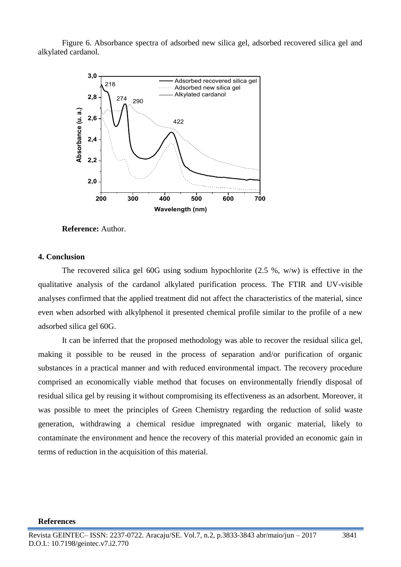Figure 6. Absorbance spectra of adsorbed new silica gel, adsorbed recovered silica gel and alkylated cardanol.



**Reference:** Author.

### **4. Conclusion**

The recovered silica gel 60G using sodium hypochlorite (2.5 %, w/w) is effective in the qualitative analysis of the cardanol alkylated purification process. The FTIR and UV-visible analyses confirmed that the applied treatment did not affect the characteristics of the material, since even when adsorbed with alkylphenol it presented chemical profile similar to the profile of a new adsorbed silica gel 60G.

It can be inferred that the proposed methodology was able to recover the residual silica gel, making it possible to be reused in the process of separation and/or purification of organic substances in a practical manner and with reduced environmental impact. The recovery procedure comprised an economically viable method that focuses on environmentally friendly disposal of residual silica gel by reusing it without compromising its effectiveness as an adsorbent. Moreover, it was possible to meet the principles of Green Chemistry regarding the reduction of solid waste generation, withdrawing a chemical residue impregnated with organic material, likely to contaminate the environment and hence the recovery of this material provided an economic gain in terms of reduction in the acquisition of this material.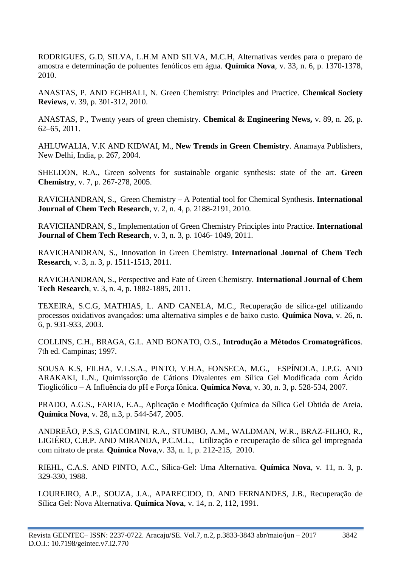RODRIGUES, G.D, SILVA, L.H.M AND SILVA, M.C.H, Alternativas verdes para o preparo de amostra e determinação de poluentes fenólicos em água. **Química Nova**, v. 33, n. 6, p. 1370-1378, 2010.

ANASTAS, P. AND EGHBALI, N. Green Chemistry: Principles and Practice. **Chemical Society Reviews**, v. 39, p. 301-312, 2010.

ANASTAS, P., Twenty years of green chemistry. **Chemical & Engineering News,** v. 89, n. 26, p. 62–65, 2011.

AHLUWALIA, V.K AND KIDWAI, M., **New Trends in Green Chemistry**. Anamaya Publishers, New Delhi, India, p. 267, 2004.

SHELDON, R.A., Green solvents for sustainable organic synthesis: state of the art. **Green Chemistry**, v. 7, p. 267-278, 2005.

RAVICHANDRAN, S., Green Chemistry – A Potential tool for Chemical Synthesis. **International Journal of Chem Tech Research**, v. 2, n. 4, p. 2188-2191, 2010.

RAVICHANDRAN, S., Implementation of Green Chemistry Principles into Practice. **International Journal of Chem Tech Research**, v. 3, n. 3, p. 1046- 1049, 2011.

RAVICHANDRAN, S., Innovation in Green Chemistry. **International Journal of Chem Tech Research**, v. 3, n. 3, p. 1511-1513, 2011.

RAVICHANDRAN, S., Perspective and Fate of Green Chemistry. **International Journal of Chem Tech Research**, v. 3, n. 4, p. 1882-1885, 2011.

TEXEIRA, S.C.G, MATHIAS, L. AND CANELA, M.C., Recuperação de sílica-gel utilizando processos oxidativos avançados: uma alternativa simples e de baixo custo. **Química Nova**, v. 26, n. 6, p. 931-933, 2003.

COLLINS, C.H., BRAGA, G.L. AND BONATO, O.S., **Introdução a Métodos Cromatográficos**. 7th ed. Campinas; 1997.

SOUSA K.S, FILHA, V.L.S.A., PINTO, V.H.A, FONSECA, M.G., ESPÍNOLA, J.P.G. AND ARAKAKI, L.N., Quimissorção de Cátions Divalentes em Sílica Gel Modificada com Ácido Tioglicólico – A Influência do pH e Força Iônica. **Química Nova**, v. 30, n. 3, p. 528-534, 2007.

PRADO, A.G.S., FARIA, E.A., Aplicação e Modificação Química da Sílica Gel Obtida de Areia. **Química Nova**, v. 28, n.3, p. 544-547, 2005.

ANDREÃO, P.S.S, GIACOMINI, R.A., STUMBO, A.M., WALDMAN, W.R., BRAZ-FILHO, R., LIGIÉRO, C.B.P. AND MIRANDA, P.C.M.L., Utilização e recuperação de sílica gel impregnada com nitrato de prata. **Química Nova***,*v. 33, n. 1, p. 212-215, 2010.

RIEHL, C.A.S. AND PINTO, A.C., Sílica-Gel: Uma Alternativa. **Química Nova**, v. 11, n. 3, p. 329-330, 1988.

LOUREIRO, A.P., SOUZA, J.A., APARECIDO, D. AND FERNANDES, J.B., Recuperação de Sílica Gel: Nova Alternativa. **Química Nova**, v. 14, n. 2, 112, 1991.